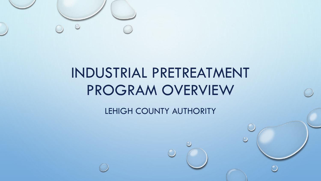

# INDUSTRIAL PRETREATMENT PROGRAM OVERVIEW

LEHIGH COUNTY AUTHORITY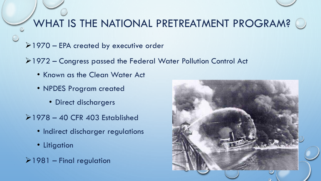### WHAT IS THE NATIONAL PRETREATMENT PROGRAM?  $\bigcirc$

- 1970 EPA created by executive order
- 1972 Congress passed the Federal Water Pollution Control Act
	- Known as the Clean Water Act
	- NPDES Program created
		- Direct dischargers
- $\ge$  1978 40 CFR 403 Established
	- Indirect discharger regulations
	- Litigation
- $\ge$ 1981 Final regulation

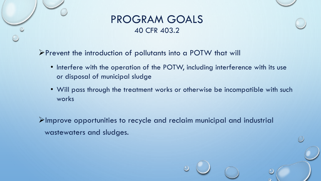



Prevent the introduction of pollutants into a POTW that will

- Interfere with the operation of the POTW, including interference with its use or disposal of municipal sludge
- Will pass through the treatment works or otherwise be incompatible with such works

 $\blacktriangleright$ Improve opportunities to recycle and reclaim municipal and industrial wastewaters and sludges.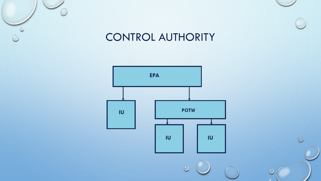

### CONTROL AUTHORITY

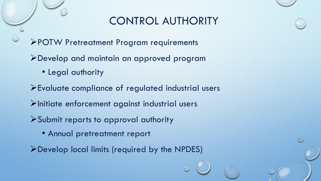### CONTROL AUTHORITY

- POTW Pretreatment Program requirements
- Develop and maintain an approved program
	- Legal authority
- Evaluate compliance of regulated industrial users
- Initiate enforcement against industrial users
- Submit reports to approval authority
	- Annual pretreatment report
- Develop local limits (required by the NPDES)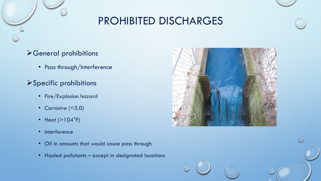# PROHIBITED DISCHARGES

#### General prohibitions

• Pass through/Interference

#### Specific prohibitions

- Fire/Explosion hazard
- Corrosive (<5.0)
- Heat  $(>104^{\circ}F)$
- Interference
- Oil in amounts that would cause pass through
- Hauled pollutants except in designated locations

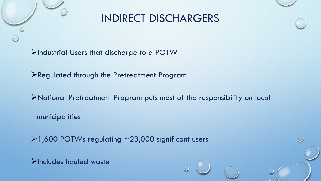### INDIRECT DISCHARGERS

Industrial Users that discharge to a POTW

Regulated through the Pretreatment Program

National Pretreatment Program puts most of the responsibility on local

municipalities

1,600 POTWs regulating ~23,000 significant users

**E**Includes hauled waste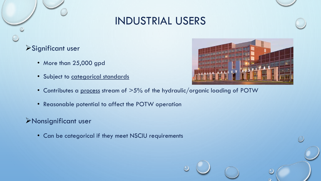

#### Significant user

- More than 25,000 gpd
- Subject to categorical standards
- Contributes a process stream of  $>5\%$  of the hydraulic/organic loading of POTW
- Reasonable potential to affect the POTW operation

#### Nonsignificant user

• Can be categorical if they meet NSCIU requirements

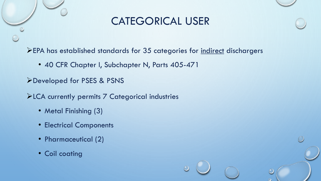### CATEGORICAL USER

EPA has established standards for 35 categories for indirect dischargers

• 40 CFR Chapter I, Subchapter N, Parts 405-471

Developed for PSES & PSNS

LCA currently permits 7 Categorical industries

- Metal Finishing (3)
- Electrical Components
- Pharmaceutical (2)
- Coil coating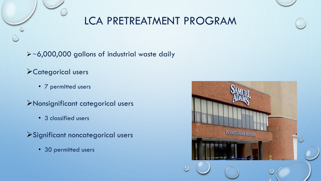# LCA PRETREATMENT PROGRAM

~6,000,000 gallons of industrial waste daily

Categorical users

• 7 permitted users

Nonsignificant categorical users

- 3 classified users
- Significant noncategorical users
	- 30 permitted users

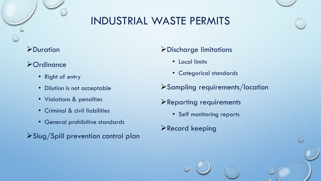# INDUSTRIAL WASTE PERMITS

#### **>Duration**

#### **>Ordinance**

- Right of entry
- Dilution is not acceptable
- Violations & penalties
- Criminal & civil liabilities
- General prohibitive standards
- Slug/Spill prevention control plan

#### Discharge limitations

- Local limits
- Categorical standards
- Sampling requirements/location
- Reporting requirements
	- Self monitoring reports
- Record keeping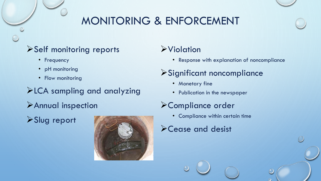# MONITORING & ENFORCEMENT

#### Self monitoring reports

- Frequency
- pH monitoring
- Flow monitoring

LCA sampling and analyzing

Annual inspection

Slug report



#### **>Violation**

• Response with explanation of noncompliance

### Significant noncompliance

- Monetary fine
- Publication in the newspaper

#### Compliance order

- Compliance within certain time
- Cease and desist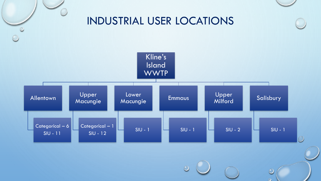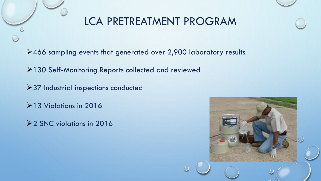# LCA PRETREATMENT PROGRAM

466 sampling events that generated over 2,900 laboratory results.

130 Self-Monitoring Reports collected and reviewed

**≻37 Industrial inspections conducted** 

13 Violations in 2016

**22 SNC violations in 2016**